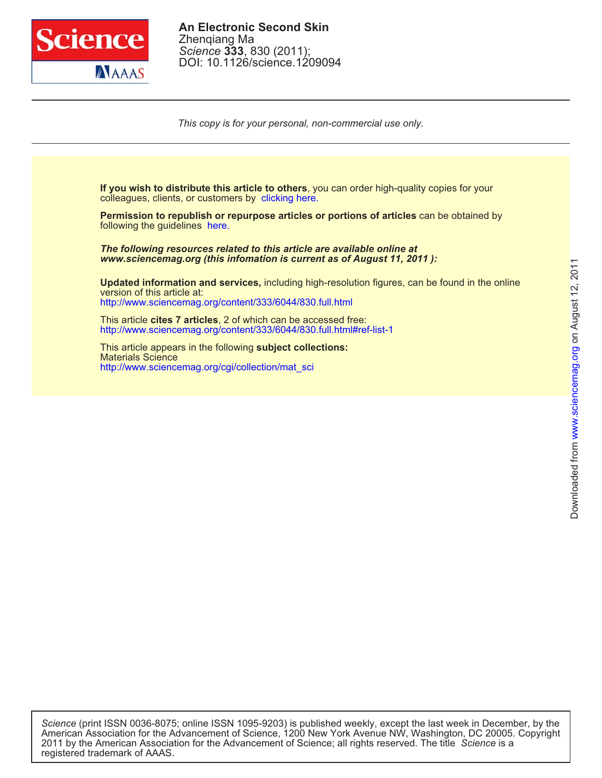

DOI: 10.1126/science.1209094 *Science* **333**, 830 (2011); Zhenqiang Ma **An Electronic Second Skin**

*This copy is for your personal, non-commercial use only.*

colleagues, clients, or customers by clicking here. **If you wish to distribute this article to others**, you can order high-quality copies for your

following the guidelines here. **Permission to republish or repurpose articles or portions of articles** can be obtained by

*www.sciencemag.org (this infomation is current as of August 11, 2011 ): The following resources related to this article are available online at*

http://www.sciencemag.org/content/333/6044/830.full.html version of this article at: **Updated information and services,** including high-resolution figures, can be found in the online

http://www.sciencemag.org/content/333/6044/830.full.html#ref-list-1 This article **cites 7 articles**, 2 of which can be accessed free:

http://www.sciencemag.org/cgi/collection/mat\_sci Materials Science This article appears in the following **subject collections:**

registered trademark of AAAS. 2011 by the American Association for the Advancement of Science; all rights reserved. The title *Science* is a American Association for the Advancement of Science, 1200 New York Avenue NW, Washington, DC 20005. Copyright *Science* (print ISSN 0036-8075; online ISSN 1095-9203) is published weekly, except the last week in December, by the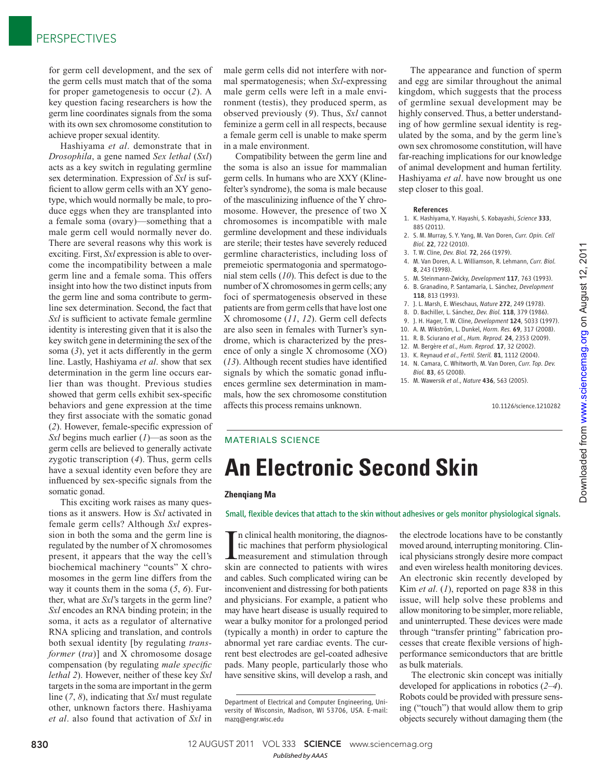for germ cell development, and the sex of the germ cells must match that of the soma for proper gametogenesis to occur (2). A key question facing researchers is how the germ line coordinates signals from the soma with its own sex chromosome constitution to achieve proper sexual identity.

Hashiyama *et al*. demonstrate that in *Drosophila*, a gene named *Sex lethal* (*Sxl*) acts as a key switch in regulating germline sex determination. Expression of *Sxl* is sufficient to allow germ cells with an XY genotype, which would normally be male, to produce eggs when they are transplanted into a female soma (ovary)—something that a male germ cell would normally never do. There are several reasons why this work is exciting. First, *Sxl* expression is able to overcome the incompatibility between a male germ line and a female soma. This offers insight into how the two distinct inputs from the germ line and soma contribute to germline sex determination. Second, the fact that *Sxl* is sufficient to activate female germline identity is interesting given that it is also the key switch gene in determining the sex of the soma  $(3)$ , yet it acts differently in the germ line. Lastly, Hashiyama *et al*. show that sex determination in the germ line occurs earlier than was thought. Previous studies showed that germ cells exhibit sex-specific behaviors and gene expression at the time they first associate with the somatic gonad (2). However, female-specific expression of *Sxl* begins much earlier (1)—as soon as the germ cells are believed to generally activate zygotic transcription (4). Thus, germ cells have a sexual identity even before they are influenced by sex-specific signals from the somatic gonad.

This exciting work raises as many questions as it answers. How is *Sxl* activated in female germ cells? Although *Sxl* expression in both the soma and the germ line is regulated by the number of X chromosomes present, it appears that the way the cell's biochemical machinery "counts" X chromosomes in the germ line differs from the way it counts them in the soma  $(5, 6)$ . Further, what are *Sxl*'s targets in the germ line? *Sxl* encodes an RNA binding protein; in the soma, it acts as a regulator of alternative RNA splicing and translation, and controls both sexual identity [by regulating *transformer* (*tra*)] and X chromosome dosage compensation (by regulating *male specific lethal 2*). However, neither of these key *Sxl* targets in the soma are important in the germ line ( *7*, *8*), indicating that *Sxl* must regulate other, unknown factors there. Hashiyama *et al*. also found that activation of *Sxl* in

male germ cells did not interfere with normal spermatogenesis; when *Sxl*-expressing male germ cells were left in a male environment (testis), they produced sperm, as observed previously (9). Thus, *Sxl* cannot feminize a germ cell in all respects, because a female germ cell is unable to make sperm in a male environment.

Compatibility between the germ line and the soma is also an issue for mammalian germ cells. In humans who are XXY (Klinefelter's syndrome), the soma is male because of the masculinizing influence of the Y chromosome. However, the presence of two X chromosomes is incompatible with male germline development and these individuals are sterile; their testes have severely reduced germline characteristics, including loss of premeiotic spermatogonia and spermatogonial stem cells ( *10*). This defect is due to the number of X chromosomes in germ cells; any foci of spermatogenesis observed in these patients are from germ cells that have lost one X chromosome ( *11*, *12*). Germ cell defects are also seen in females with Turner's syndrome, which is characterized by the presence of only a single X chromosome (XO)  $(13)$ . Although recent studies have identified signals by which the somatic gonad influences germline sex determination in mammals, how the sex chromosome constitution affects this process remains unknown.

The appearance and function of sperm and egg are similar throughout the animal kingdom, which suggests that the process of germline sexual development may be highly conserved. Thus, a better understanding of how germline sexual identity is regulated by the soma, and by the germ line's own sex chromosome constitution, will have far-reaching implications for our knowledge of animal development and human fertility. Hashiyama *et al*. have now brought us one step closer to this goal.

- 1. K. Hashiyama, Y. Hayashi, S. Kobayashi, *Science* 333,<br>885 (2011) 885 (2011).
- 2. S. M. Murray, S. Y. Yang, M. Van Doren, *Curr. Opin. Cell Biol.* 22, 722 (2010).
- 3. T. W. Cline, *Dev. Biol.* 72, 266 (1979).
- 4. M. Van Doren, A. L. Williamson, R. Lehmann, *Curr. Biol.*
- 8, 243 (1998). 5. M. Steinmann-Zwicky, *Development* 117, 763 (1993).
- 6. B. Granadino, P. Santamaria, L. Sánchez, *Development*
- 118, 813 (1993). 7. J. L. Marsh, E. Wieschaus, *Nature* 272, 249 (1978).
- 
- 8. D. Bachiller, L. Sánchez, *Dev. Biol.* 118, 379 (1986).
- 9. J. H. Hager, T. W. Cline, *Development* 124, 5033 (1997).
- 10. A. M. Wikström, L. Dunkel, *Horm. Res.* 69, 317 (2008).
- 11. R. B. Sciurano *et al*., *Hum. Reprod.* 24, 2353 (2009).
- 12. M. Bergère *et al*., *Hum. Reprod.* 17, 32 (2002). 13. K. Reynaud *et al*., *Fertil. Steril.* 81, 1112 (2004).
- 14. N. Camara, C. Whitworth, M. Van Doren, *Curr. Top. Dev. Biol.* 83, 65 (2008).
- 15. M. Wawersik *et al*., *Nature* 436, 563 (2005).

10.1126/science.1210282

on August 12, 2011

www.sciencemag.org

Downloaded from www.sciencemag.org on August 12, 2011

Downloaded from

## MATERIALS SCIENCE

# **An Electronic Second Skin**

### **Zhenqiang Ma**

Small, flexible devices that attach to the skin without adhesives or gels monitor physiological signals.

In clinical health monitoring, the diagnostic machines that perform physiological<br>measurement and stimulation through<br>skin are connected to patients with wires n clinical health monitoring, the diagnostic machines that perform physiological skin are connected to patients with wires and cables. Such complicated wiring can be inconvenient and distressing for both patients and physicians. For example, a patient who may have heart disease is usually required to wear a bulky monitor for a prolonged period (typically a month) in order to capture the abnormal yet rare cardiac events. The current best electrodes are gel-coated adhesive pads. Many people, particularly those who have sensitive skins, will develop a rash, and

the electrode locations have to be constantly moved around, interrupting monitoring. Clinical physicians strongly desire more compact and even wireless health monitoring devices. An electronic skin recently developed by Kim *et al.* (1), reported on page 838 in this issue, will help solve these problems and allow monitoring to be simpler, more reliable, and uninterrupted. These devices were made through "transfer printing" fabrication processes that create flexible versions of highperformance semiconductors that are brittle as bulk materials.

The electronic skin concept was initially developed for applications in robotics  $(2-4)$ . Robots could be provided with pressure sensing ("touch") that would allow them to grip objects securely without damaging them (the

Department of Electrical and Computer Engineering, University of Wisconsin, Madison, WI 53706, USA. E-mail: mazq@engr.wisc.edu